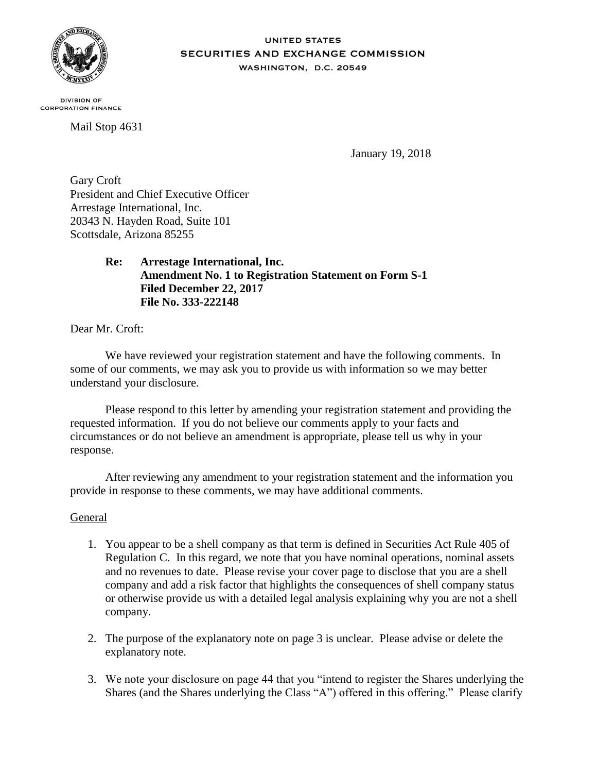

#### **UNITED STATES SECURITIES AND EXCHANGE COMMISSION** WASHINGTON, D.C. 20549

**DIVISION OF CORPORATION FINANCE** 

Mail Stop 4631

January 19, 2018

Gary Croft President and Chief Executive Officer Arrestage International, Inc. 20343 N. Hayden Road, Suite 101 Scottsdale, Arizona 85255

> **Re: Arrestage International, Inc. Amendment No. 1 to Registration Statement on Form S-1 Filed December 22, 2017 File No. 333-222148**

Dear Mr. Croft:

We have reviewed your registration statement and have the following comments. In some of our comments, we may ask you to provide us with information so we may better understand your disclosure.

Please respond to this letter by amending your registration statement and providing the requested information. If you do not believe our comments apply to your facts and circumstances or do not believe an amendment is appropriate, please tell us why in your response.

After reviewing any amendment to your registration statement and the information you provide in response to these comments, we may have additional comments.

# General

- 1. You appear to be a shell company as that term is defined in Securities Act Rule 405 of Regulation C. In this regard, we note that you have nominal operations, nominal assets and no revenues to date. Please revise your cover page to disclose that you are a shell company and add a risk factor that highlights the consequences of shell company status or otherwise provide us with a detailed legal analysis explaining why you are not a shell company.
- 2. The purpose of the explanatory note on page 3 is unclear. Please advise or delete the explanatory note.
- 3. We note your disclosure on page 44 that you "intend to register the Shares underlying the Shares (and the Shares underlying the Class "A") offered in this offering." Please clarify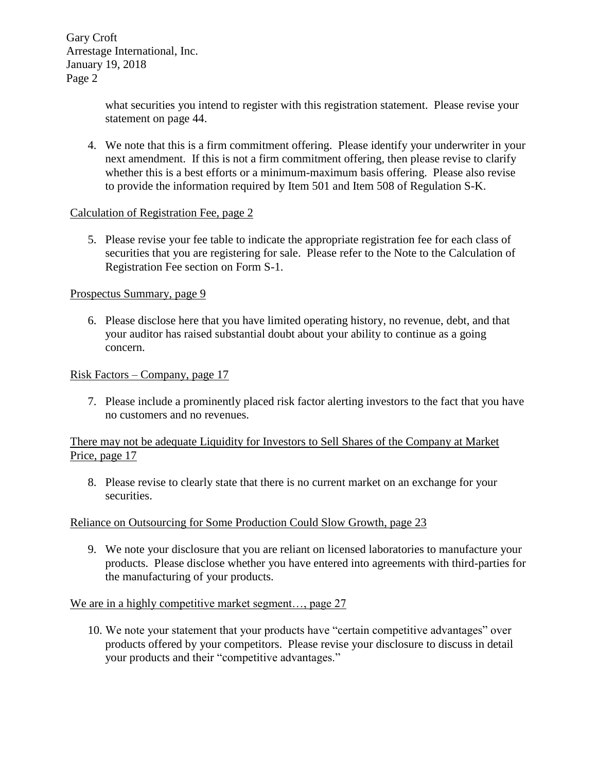> what securities you intend to register with this registration statement. Please revise your statement on page 44.

4. We note that this is a firm commitment offering. Please identify your underwriter in your next amendment. If this is not a firm commitment offering, then please revise to clarify whether this is a best efforts or a minimum-maximum basis offering. Please also revise to provide the information required by Item 501 and Item 508 of Regulation S-K.

# Calculation of Registration Fee, page 2

5. Please revise your fee table to indicate the appropriate registration fee for each class of securities that you are registering for sale. Please refer to the Note to the Calculation of Registration Fee section on Form S-1.

# Prospectus Summary, page 9

6. Please disclose here that you have limited operating history, no revenue, debt, and that your auditor has raised substantial doubt about your ability to continue as a going concern.

Risk Factors – Company, page 17

7. Please include a prominently placed risk factor alerting investors to the fact that you have no customers and no revenues.

# There may not be adequate Liquidity for Investors to Sell Shares of the Company at Market Price, page 17

8. Please revise to clearly state that there is no current market on an exchange for your securities.

# Reliance on Outsourcing for Some Production Could Slow Growth, page 23

9. We note your disclosure that you are reliant on licensed laboratories to manufacture your products. Please disclose whether you have entered into agreements with third-parties for the manufacturing of your products.

# We are in a highly competitive market segment..., page 27

10. We note your statement that your products have "certain competitive advantages" over products offered by your competitors. Please revise your disclosure to discuss in detail your products and their "competitive advantages."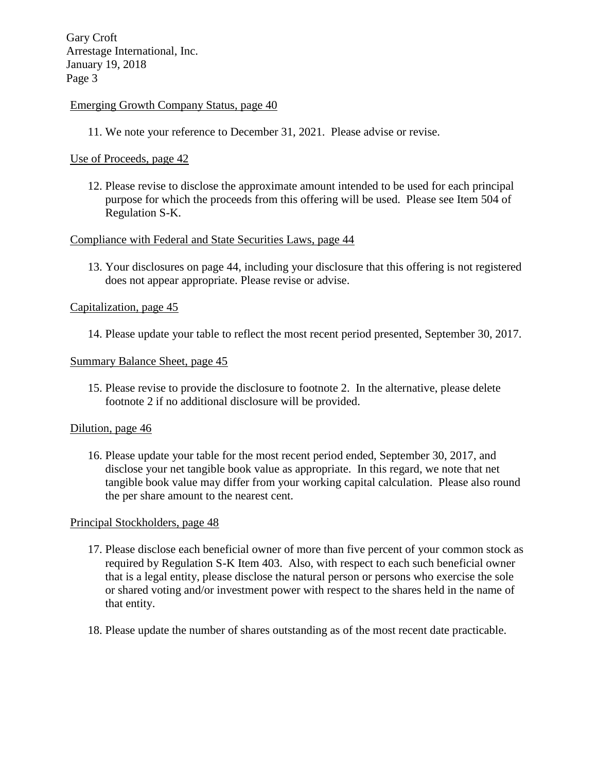# Emerging Growth Company Status, page 40

11. We note your reference to December 31, 2021. Please advise or revise.

## Use of Proceeds, page 42

12. Please revise to disclose the approximate amount intended to be used for each principal purpose for which the proceeds from this offering will be used. Please see Item 504 of Regulation S-K.

# Compliance with Federal and State Securities Laws, page 44

13. Your disclosures on page 44, including your disclosure that this offering is not registered does not appear appropriate. Please revise or advise.

#### Capitalization, page 45

14. Please update your table to reflect the most recent period presented, September 30, 2017.

#### Summary Balance Sheet, page 45

15. Please revise to provide the disclosure to footnote 2. In the alternative, please delete footnote 2 if no additional disclosure will be provided.

#### Dilution, page 46

16. Please update your table for the most recent period ended, September 30, 2017, and disclose your net tangible book value as appropriate. In this regard, we note that net tangible book value may differ from your working capital calculation. Please also round the per share amount to the nearest cent.

#### Principal Stockholders, page 48

- 17. Please disclose each beneficial owner of more than five percent of your common stock as required by Regulation S-K Item 403. Also, with respect to each such beneficial owner that is a legal entity, please disclose the natural person or persons who exercise the sole or shared voting and/or investment power with respect to the shares held in the name of that entity.
- 18. Please update the number of shares outstanding as of the most recent date practicable.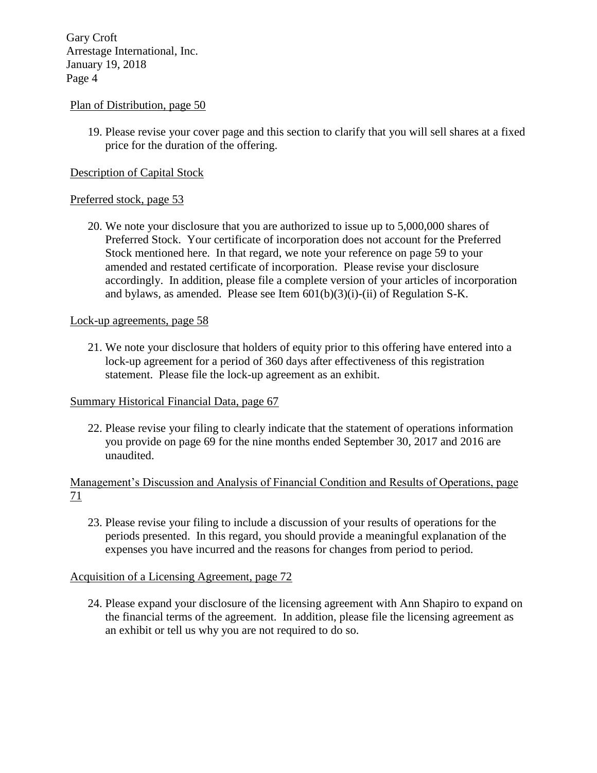# Plan of Distribution, page 50

19. Please revise your cover page and this section to clarify that you will sell shares at a fixed price for the duration of the offering.

## Description of Capital Stock

## Preferred stock, page 53

20. We note your disclosure that you are authorized to issue up to 5,000,000 shares of Preferred Stock. Your certificate of incorporation does not account for the Preferred Stock mentioned here. In that regard, we note your reference on page 59 to your amended and restated certificate of incorporation. Please revise your disclosure accordingly. In addition, please file a complete version of your articles of incorporation and bylaws, as amended. Please see Item 601(b)(3)(i)-(ii) of Regulation S-K.

## Lock-up agreements, page 58

21. We note your disclosure that holders of equity prior to this offering have entered into a lock-up agreement for a period of 360 days after effectiveness of this registration statement. Please file the lock-up agreement as an exhibit.

# Summary Historical Financial Data, page 67

22. Please revise your filing to clearly indicate that the statement of operations information you provide on page 69 for the nine months ended September 30, 2017 and 2016 are unaudited.

# Management's Discussion and Analysis of Financial Condition and Results of Operations, page 71

23. Please revise your filing to include a discussion of your results of operations for the periods presented. In this regard, you should provide a meaningful explanation of the expenses you have incurred and the reasons for changes from period to period.

# Acquisition of a Licensing Agreement, page 72

24. Please expand your disclosure of the licensing agreement with Ann Shapiro to expand on the financial terms of the agreement. In addition, please file the licensing agreement as an exhibit or tell us why you are not required to do so.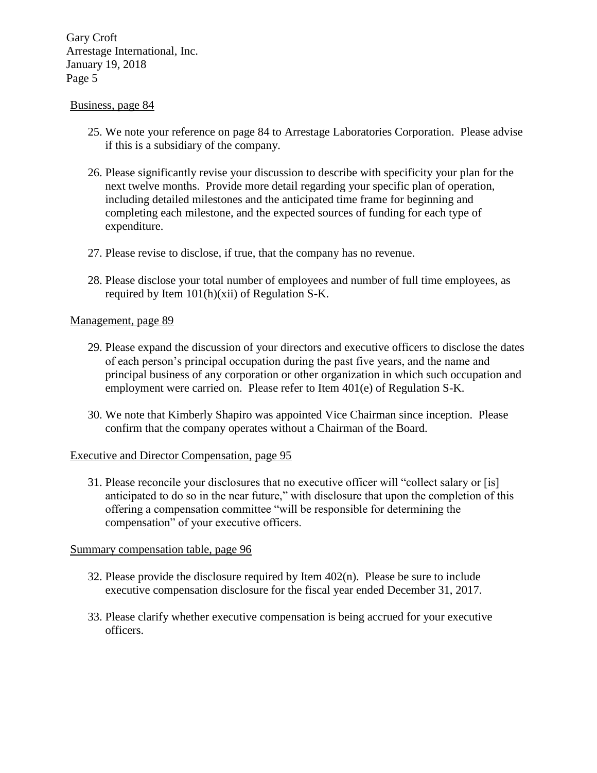## Business, page 84

- 25. We note your reference on page 84 to Arrestage Laboratories Corporation. Please advise if this is a subsidiary of the company.
- 26. Please significantly revise your discussion to describe with specificity your plan for the next twelve months. Provide more detail regarding your specific plan of operation, including detailed milestones and the anticipated time frame for beginning and completing each milestone, and the expected sources of funding for each type of expenditure.
- 27. Please revise to disclose, if true, that the company has no revenue.
- 28. Please disclose your total number of employees and number of full time employees, as required by Item 101(h)(xii) of Regulation S-K.

## Management, page 89

- 29. Please expand the discussion of your directors and executive officers to disclose the dates of each person's principal occupation during the past five years, and the name and principal business of any corporation or other organization in which such occupation and employment were carried on. Please refer to Item 401(e) of Regulation S-K.
- 30. We note that Kimberly Shapiro was appointed Vice Chairman since inception. Please confirm that the company operates without a Chairman of the Board.

#### Executive and Director Compensation, page 95

31. Please reconcile your disclosures that no executive officer will "collect salary or [is] anticipated to do so in the near future," with disclosure that upon the completion of this offering a compensation committee "will be responsible for determining the compensation" of your executive officers.

#### Summary compensation table, page 96

- 32. Please provide the disclosure required by Item 402(n). Please be sure to include executive compensation disclosure for the fiscal year ended December 31, 2017.
- 33. Please clarify whether executive compensation is being accrued for your executive officers.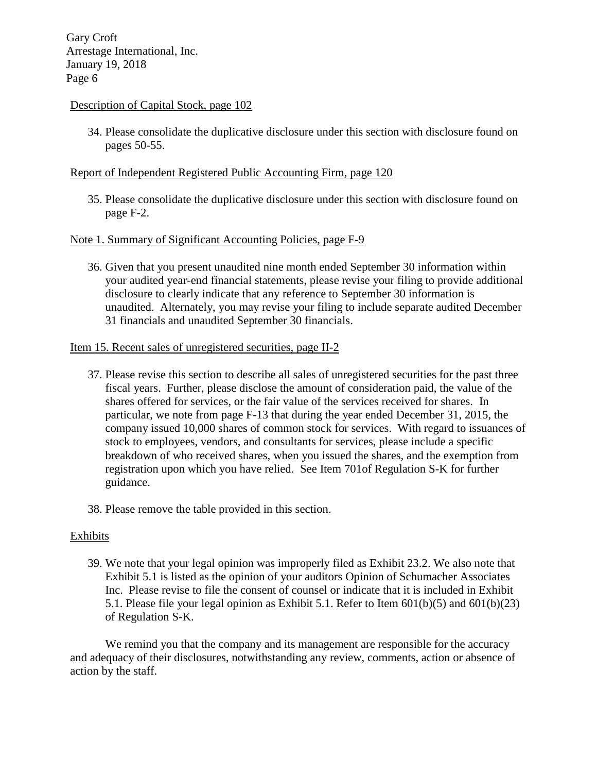## Description of Capital Stock, page 102

34. Please consolidate the duplicative disclosure under this section with disclosure found on pages 50-55.

## Report of Independent Registered Public Accounting Firm, page 120

35. Please consolidate the duplicative disclosure under this section with disclosure found on page F-2.

# Note 1. Summary of Significant Accounting Policies, page F-9

36. Given that you present unaudited nine month ended September 30 information within your audited year-end financial statements, please revise your filing to provide additional disclosure to clearly indicate that any reference to September 30 information is unaudited. Alternately, you may revise your filing to include separate audited December 31 financials and unaudited September 30 financials.

## Item 15. Recent sales of unregistered securities, page II-2

- 37. Please revise this section to describe all sales of unregistered securities for the past three fiscal years. Further, please disclose the amount of consideration paid, the value of the shares offered for services, or the fair value of the services received for shares. In particular, we note from page F-13 that during the year ended December 31, 2015, the company issued 10,000 shares of common stock for services. With regard to issuances of stock to employees, vendors, and consultants for services, please include a specific breakdown of who received shares, when you issued the shares, and the exemption from registration upon which you have relied. See Item 701of Regulation S-K for further guidance.
- 38. Please remove the table provided in this section.

#### **Exhibits**

39. We note that your legal opinion was improperly filed as Exhibit 23.2. We also note that Exhibit 5.1 is listed as the opinion of your auditors Opinion of Schumacher Associates Inc. Please revise to file the consent of counsel or indicate that it is included in Exhibit 5.1. Please file your legal opinion as Exhibit 5.1. Refer to Item  $601(b)(5)$  and  $601(b)(23)$ of Regulation S-K.

We remind you that the company and its management are responsible for the accuracy and adequacy of their disclosures, notwithstanding any review, comments, action or absence of action by the staff.